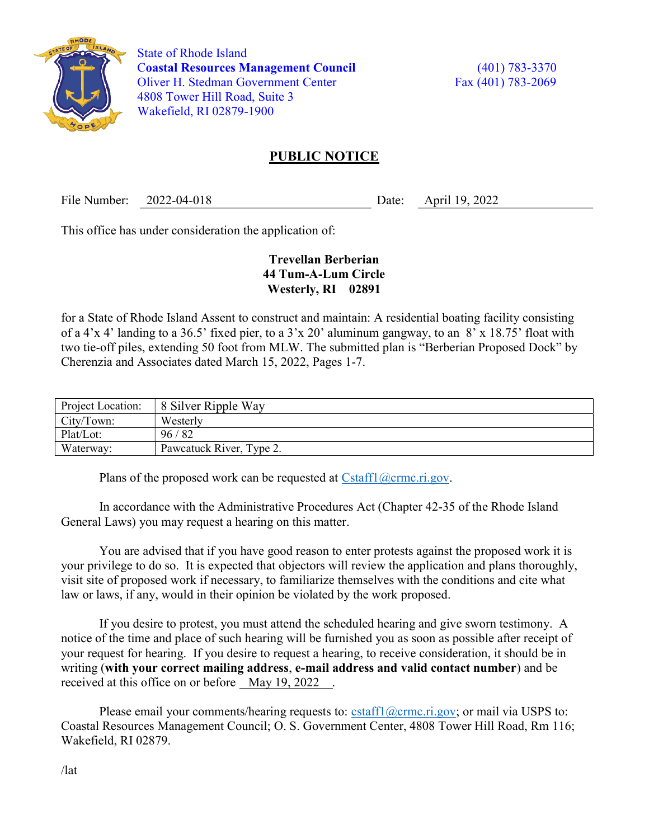

 State of Rhode Island Coastal Resources Management Council (401) 783-3370 Oliver H. Stedman Government Center Fax (401) 783-2069 4808 Tower Hill Road, Suite 3 Wakefield, RI 02879-1900

## PUBLIC NOTICE

File Number: 2022-04-018 Date: April 19, 2022

This office has under consideration the application of:

## Trevellan Berberian 44 Tum-A-Lum Circle Westerly, RI 02891

for a State of Rhode Island Assent to construct and maintain: A residential boating facility consisting of a 4'x 4' landing to a 36.5' fixed pier, to a 3'x 20' aluminum gangway, to an 8' x 18.75' float with two tie-off piles, extending 50 foot from MLW. The submitted plan is "Berberian Proposed Dock" by Cherenzia and Associates dated March 15, 2022, Pages 1-7.

| Project Location: | 8 Silver Ripple Way      |
|-------------------|--------------------------|
| City/Town:        | Westerly                 |
| Plat/Lot:         | 96/82                    |
| Waterway:         | Pawcatuck River, Type 2. |

Plans of the proposed work can be requested at  $Cstat1(\omega$ crmc.ri.gov.

In accordance with the Administrative Procedures Act (Chapter 42-35 of the Rhode Island General Laws) you may request a hearing on this matter.

You are advised that if you have good reason to enter protests against the proposed work it is your privilege to do so. It is expected that objectors will review the application and plans thoroughly, visit site of proposed work if necessary, to familiarize themselves with the conditions and cite what law or laws, if any, would in their opinion be violated by the work proposed.

If you desire to protest, you must attend the scheduled hearing and give sworn testimony. A notice of the time and place of such hearing will be furnished you as soon as possible after receipt of your request for hearing. If you desire to request a hearing, to receive consideration, it should be in writing (with your correct mailing address, e-mail address and valid contact number) and be received at this office on or before May 19, 2022 .

Please email your comments/hearing requests to: cstaff1@crmc.ri.gov; or mail via USPS to: Coastal Resources Management Council; O. S. Government Center, 4808 Tower Hill Road, Rm 116; Wakefield, RI 02879.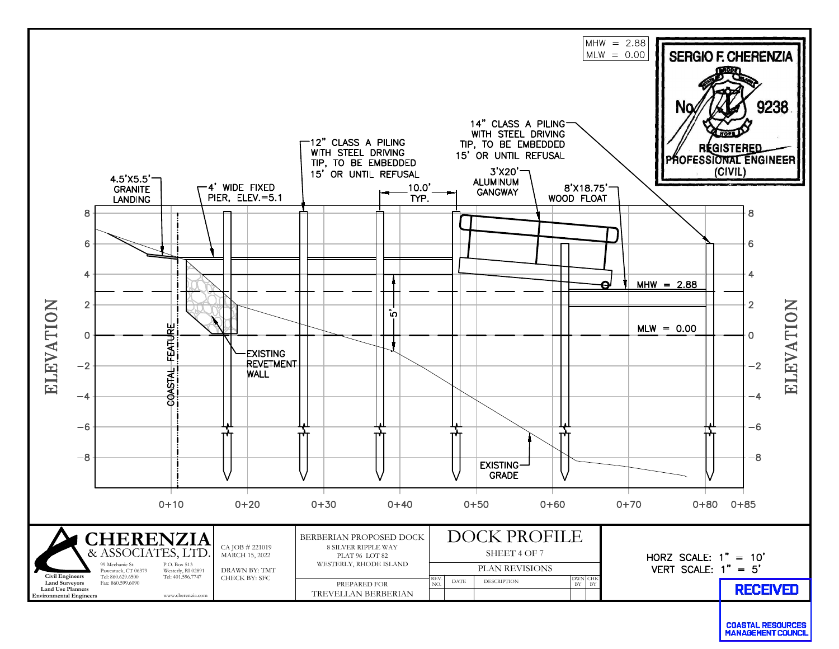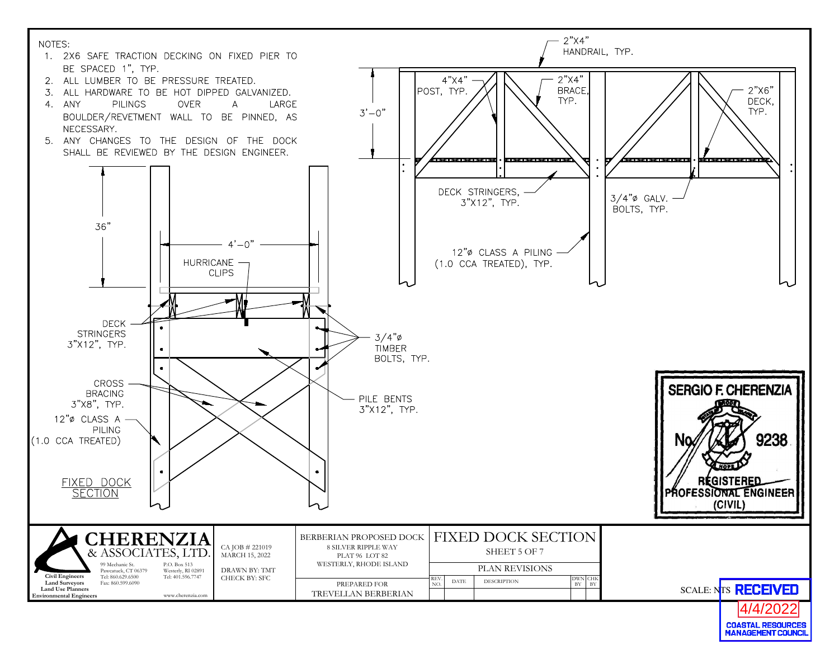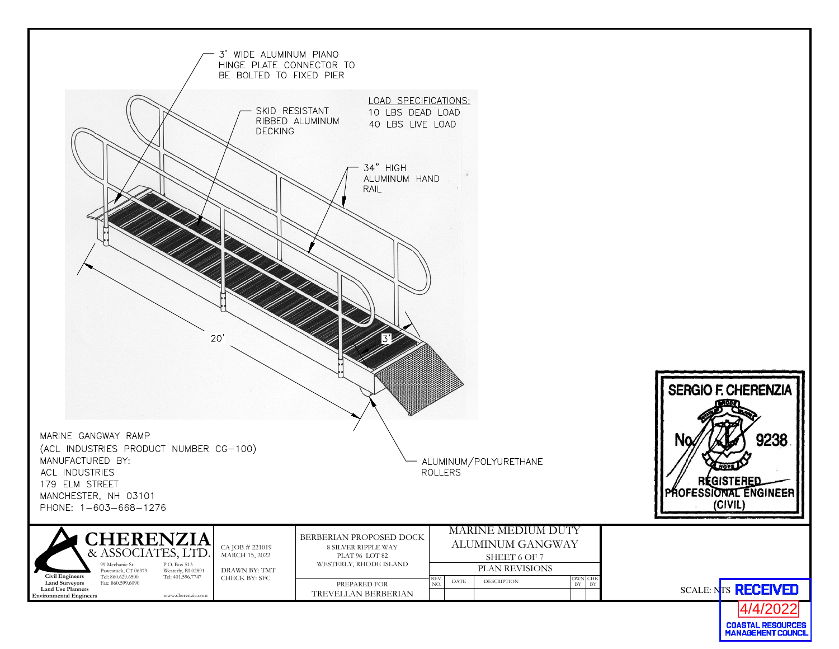